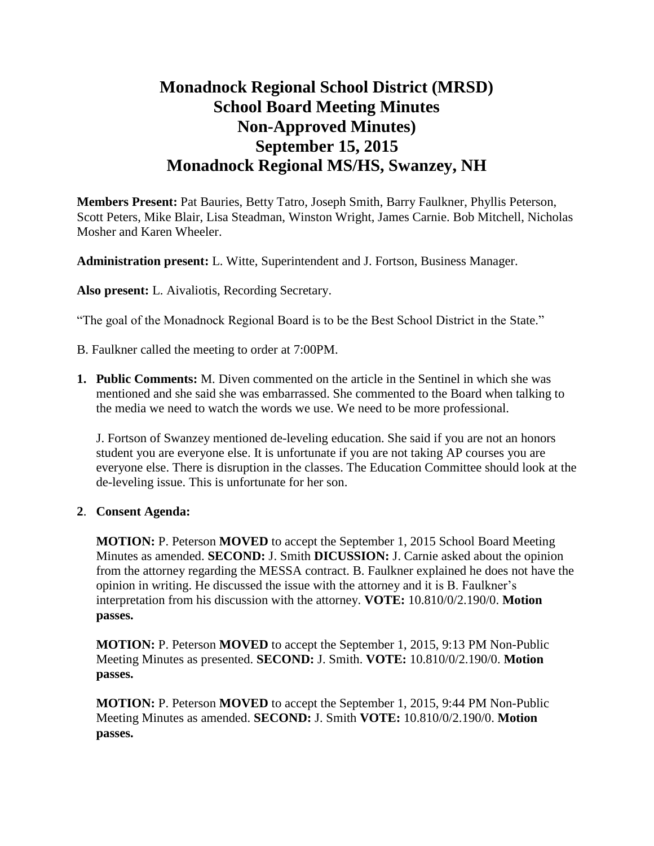# **Monadnock Regional School District (MRSD) School Board Meeting Minutes Non-Approved Minutes) September 15, 2015 Monadnock Regional MS/HS, Swanzey, NH**

**Members Present:** Pat Bauries, Betty Tatro, Joseph Smith, Barry Faulkner, Phyllis Peterson, Scott Peters, Mike Blair, Lisa Steadman, Winston Wright, James Carnie. Bob Mitchell, Nicholas Mosher and Karen Wheeler.

**Administration present:** L. Witte, Superintendent and J. Fortson, Business Manager.

**Also present:** L. Aivaliotis, Recording Secretary.

"The goal of the Monadnock Regional Board is to be the Best School District in the State."

- B. Faulkner called the meeting to order at 7:00PM.
- **1. Public Comments:** M. Diven commented on the article in the Sentinel in which she was mentioned and she said she was embarrassed. She commented to the Board when talking to the media we need to watch the words we use. We need to be more professional.

J. Fortson of Swanzey mentioned de-leveling education. She said if you are not an honors student you are everyone else. It is unfortunate if you are not taking AP courses you are everyone else. There is disruption in the classes. The Education Committee should look at the de-leveling issue. This is unfortunate for her son.

#### **2**. **Consent Agenda:**

**MOTION:** P. Peterson **MOVED** to accept the September 1, 2015 School Board Meeting Minutes as amended. **SECOND:** J. Smith **DICUSSION:** J. Carnie asked about the opinion from the attorney regarding the MESSA contract. B. Faulkner explained he does not have the opinion in writing. He discussed the issue with the attorney and it is B. Faulkner's interpretation from his discussion with the attorney. **VOTE:** 10.810/0/2.190/0. **Motion passes.**

**MOTION:** P. Peterson **MOVED** to accept the September 1, 2015, 9:13 PM Non-Public Meeting Minutes as presented. **SECOND:** J. Smith. **VOTE:** 10.810/0/2.190/0. **Motion passes.** 

**MOTION:** P. Peterson **MOVED** to accept the September 1, 2015, 9:44 PM Non-Public Meeting Minutes as amended. **SECOND:** J. Smith **VOTE:** 10.810/0/2.190/0. **Motion passes.**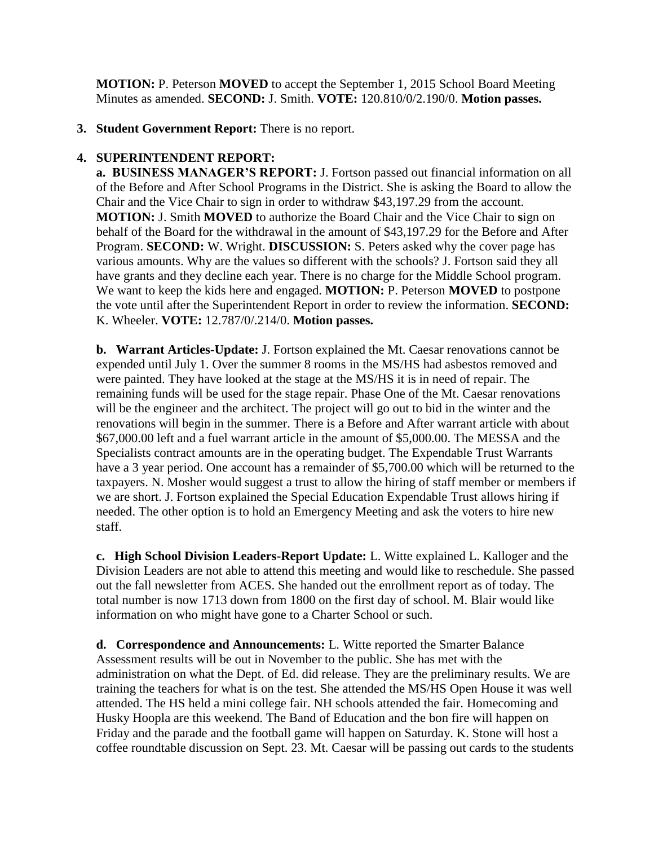**MOTION:** P. Peterson **MOVED** to accept the September 1, 2015 School Board Meeting Minutes as amended. **SECOND:** J. Smith. **VOTE:** 120.810/0/2.190/0. **Motion passes.** 

### **3. Student Government Report:** There is no report.

## **4. SUPERINTENDENT REPORT:**

 **a. BUSINESS MANAGER'S REPORT:** J. Fortson passed out financial information on all of the Before and After School Programs in the District. She is asking the Board to allow the Chair and the Vice Chair to sign in order to withdraw \$43,197.29 from the account. **MOTION:** J. Smith **MOVED** to authorize the Board Chair and the Vice Chair to **s**ign on behalf of the Board for the withdrawal in the amount of \$43,197.29 for the Before and After Program. **SECOND:** W. Wright. **DISCUSSION:** S. Peters asked why the cover page has various amounts. Why are the values so different with the schools? J. Fortson said they all have grants and they decline each year. There is no charge for the Middle School program. We want to keep the kids here and engaged. **MOTION:** P. Peterson **MOVED** to postpone the vote until after the Superintendent Report in order to review the information. **SECOND:**  K. Wheeler. **VOTE:** 12.787/0/.214/0. **Motion passes.** 

**b. Warrant Articles-Update:** J. Fortson explained the Mt. Caesar renovations cannot be expended until July 1. Over the summer 8 rooms in the MS/HS had asbestos removed and were painted. They have looked at the stage at the MS/HS it is in need of repair. The remaining funds will be used for the stage repair. Phase One of the Mt. Caesar renovations will be the engineer and the architect. The project will go out to bid in the winter and the renovations will begin in the summer. There is a Before and After warrant article with about \$67,000.00 left and a fuel warrant article in the amount of \$5,000.00. The MESSA and the Specialists contract amounts are in the operating budget. The Expendable Trust Warrants have a 3 year period. One account has a remainder of \$5,700.00 which will be returned to the taxpayers. N. Mosher would suggest a trust to allow the hiring of staff member or members if we are short. J. Fortson explained the Special Education Expendable Trust allows hiring if needed. The other option is to hold an Emergency Meeting and ask the voters to hire new staff.

**c. High School Division Leaders-Report Update:** L. Witte explained L. Kalloger and the Division Leaders are not able to attend this meeting and would like to reschedule. She passed out the fall newsletter from ACES. She handed out the enrollment report as of today. The total number is now 1713 down from 1800 on the first day of school. M. Blair would like information on who might have gone to a Charter School or such.

**d. Correspondence and Announcements:** L. Witte reported the Smarter Balance Assessment results will be out in November to the public. She has met with the administration on what the Dept. of Ed. did release. They are the preliminary results. We are training the teachers for what is on the test. She attended the MS/HS Open House it was well attended. The HS held a mini college fair. NH schools attended the fair. Homecoming and Husky Hoopla are this weekend. The Band of Education and the bon fire will happen on Friday and the parade and the football game will happen on Saturday. K. Stone will host a coffee roundtable discussion on Sept. 23. Mt. Caesar will be passing out cards to the students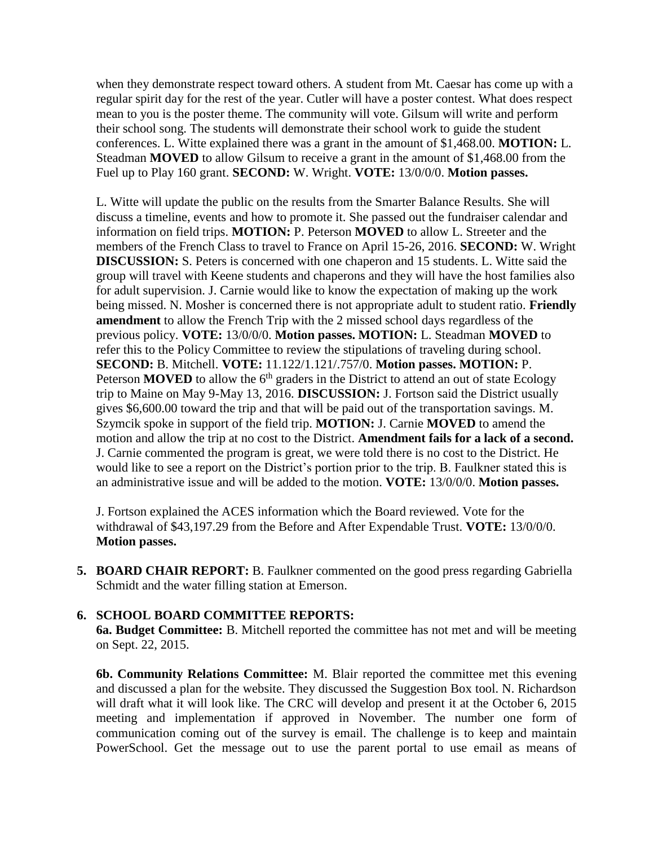when they demonstrate respect toward others. A student from Mt. Caesar has come up with a regular spirit day for the rest of the year. Cutler will have a poster contest. What does respect mean to you is the poster theme. The community will vote. Gilsum will write and perform their school song. The students will demonstrate their school work to guide the student conferences. L. Witte explained there was a grant in the amount of \$1,468.00. **MOTION:** L. Steadman **MOVED** to allow Gilsum to receive a grant in the amount of \$1,468.00 from the Fuel up to Play 160 grant. **SECOND:** W. Wright. **VOTE:** 13/0/0/0. **Motion passes.** 

L. Witte will update the public on the results from the Smarter Balance Results. She will discuss a timeline, events and how to promote it. She passed out the fundraiser calendar and information on field trips. **MOTION:** P. Peterson **MOVED** to allow L. Streeter and the members of the French Class to travel to France on April 15-26, 2016. **SECOND:** W. Wright **DISCUSSION:** S. Peters is concerned with one chaperon and 15 students. L. Witte said the group will travel with Keene students and chaperons and they will have the host families also for adult supervision. J. Carnie would like to know the expectation of making up the work being missed. N. Mosher is concerned there is not appropriate adult to student ratio. **Friendly amendment** to allow the French Trip with the 2 missed school days regardless of the previous policy. **VOTE:** 13/0/0/0. **Motion passes. MOTION:** L. Steadman **MOVED** to refer this to the Policy Committee to review the stipulations of traveling during school. **SECOND:** B. Mitchell. **VOTE:** 11.122/1.121/.757/0. **Motion passes. MOTION:** P. Peterson **MOVED** to allow the 6<sup>th</sup> graders in the District to attend an out of state Ecology trip to Maine on May 9-May 13, 2016. **DISCUSSION:** J. Fortson said the District usually gives \$6,600.00 toward the trip and that will be paid out of the transportation savings. M. Szymcik spoke in support of the field trip. **MOTION:** J. Carnie **MOVED** to amend the motion and allow the trip at no cost to the District. **Amendment fails for a lack of a second.**  J. Carnie commented the program is great, we were told there is no cost to the District. He would like to see a report on the District's portion prior to the trip. B. Faulkner stated this is an administrative issue and will be added to the motion. **VOTE:** 13/0/0/0. **Motion passes.** 

J. Fortson explained the ACES information which the Board reviewed. Vote for the withdrawal of \$43,197.29 from the Before and After Expendable Trust. **VOTE:** 13/0/0/0. **Motion passes.** 

**5. BOARD CHAIR REPORT:** B. Faulkner commented on the good press regarding Gabriella Schmidt and the water filling station at Emerson.

#### **6. SCHOOL BOARD COMMITTEE REPORTS:**

**6a. Budget Committee:** B. Mitchell reported the committee has not met and will be meeting on Sept. 22, 2015.

**6b. Community Relations Committee:** M. Blair reported the committee met this evening and discussed a plan for the website. They discussed the Suggestion Box tool. N. Richardson will draft what it will look like. The CRC will develop and present it at the October 6, 2015 meeting and implementation if approved in November. The number one form of communication coming out of the survey is email. The challenge is to keep and maintain PowerSchool. Get the message out to use the parent portal to use email as means of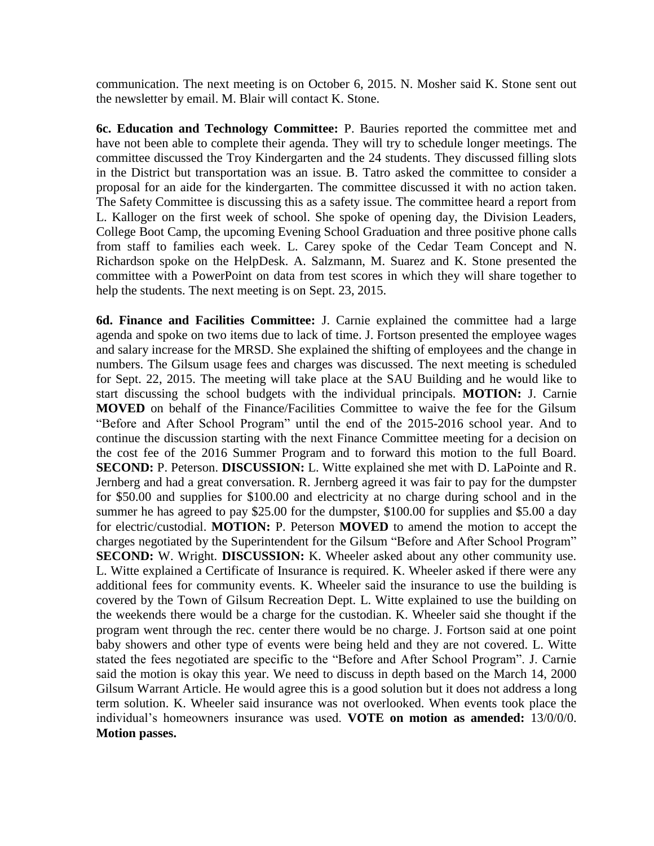communication. The next meeting is on October 6, 2015. N. Mosher said K. Stone sent out the newsletter by email. M. Blair will contact K. Stone.

 **6c. Education and Technology Committee:** P. Bauries reported the committee met and have not been able to complete their agenda. They will try to schedule longer meetings. The committee discussed the Troy Kindergarten and the 24 students. They discussed filling slots in the District but transportation was an issue. B. Tatro asked the committee to consider a proposal for an aide for the kindergarten. The committee discussed it with no action taken. The Safety Committee is discussing this as a safety issue. The committee heard a report from L. Kalloger on the first week of school. She spoke of opening day, the Division Leaders, College Boot Camp, the upcoming Evening School Graduation and three positive phone calls from staff to families each week. L. Carey spoke of the Cedar Team Concept and N. Richardson spoke on the HelpDesk. A. Salzmann, M. Suarez and K. Stone presented the committee with a PowerPoint on data from test scores in which they will share together to help the students. The next meeting is on Sept. 23, 2015.

 **6d. Finance and Facilities Committee:** J. Carnie explained the committee had a large agenda and spoke on two items due to lack of time. J. Fortson presented the employee wages and salary increase for the MRSD. She explained the shifting of employees and the change in numbers. The Gilsum usage fees and charges was discussed. The next meeting is scheduled for Sept. 22, 2015. The meeting will take place at the SAU Building and he would like to start discussing the school budgets with the individual principals. **MOTION:** J. Carnie **MOVED** on behalf of the Finance/Facilities Committee to waive the fee for the Gilsum "Before and After School Program" until the end of the 2015-2016 school year. And to continue the discussion starting with the next Finance Committee meeting for a decision on the cost fee of the 2016 Summer Program and to forward this motion to the full Board. **SECOND:** P. Peterson. **DISCUSSION:** L. Witte explained she met with D. LaPointe and R. Jernberg and had a great conversation. R. Jernberg agreed it was fair to pay for the dumpster for \$50.00 and supplies for \$100.00 and electricity at no charge during school and in the summer he has agreed to pay \$25.00 for the dumpster, \$100.00 for supplies and \$5.00 a day for electric/custodial. **MOTION:** P. Peterson **MOVED** to amend the motion to accept the charges negotiated by the Superintendent for the Gilsum "Before and After School Program" **SECOND:** W. Wright. **DISCUSSION:** K. Wheeler asked about any other community use. L. Witte explained a Certificate of Insurance is required. K. Wheeler asked if there were any additional fees for community events. K. Wheeler said the insurance to use the building is covered by the Town of Gilsum Recreation Dept. L. Witte explained to use the building on the weekends there would be a charge for the custodian. K. Wheeler said she thought if the program went through the rec. center there would be no charge. J. Fortson said at one point baby showers and other type of events were being held and they are not covered. L. Witte stated the fees negotiated are specific to the "Before and After School Program". J. Carnie said the motion is okay this year. We need to discuss in depth based on the March 14, 2000 Gilsum Warrant Article. He would agree this is a good solution but it does not address a long term solution. K. Wheeler said insurance was not overlooked. When events took place the individual's homeowners insurance was used. **VOTE on motion as amended:** 13/0/0/0. **Motion passes.**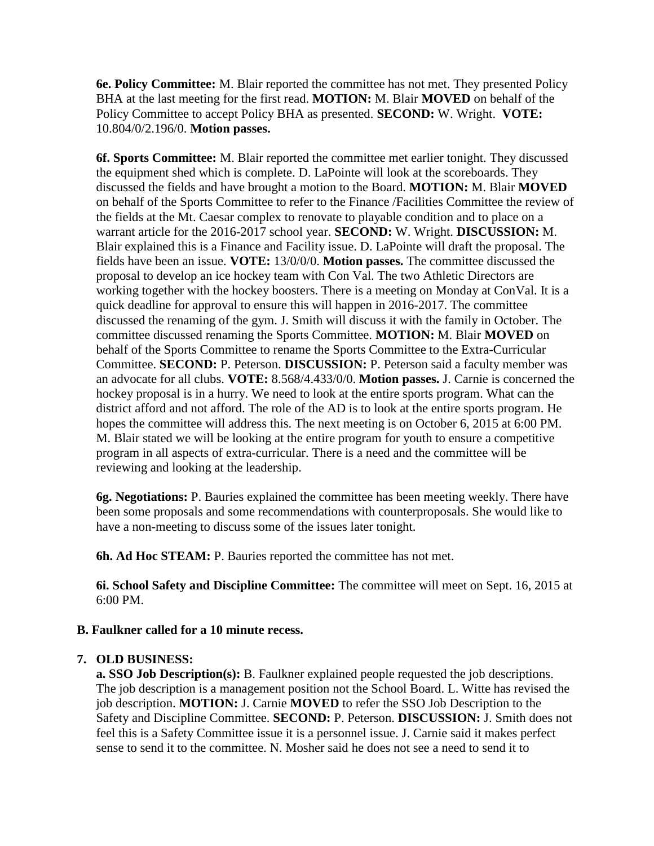**6e. Policy Committee:** M. Blair reported the committee has not met. They presented Policy BHA at the last meeting for the first read. **MOTION:** M. Blair **MOVED** on behalf of the Policy Committee to accept Policy BHA as presented. **SECOND:** W. Wright. **VOTE:**  10.804/0/2.196/0. **Motion passes.** 

**6f. Sports Committee:** M. Blair reported the committee met earlier tonight. They discussed the equipment shed which is complete. D. LaPointe will look at the scoreboards. They discussed the fields and have brought a motion to the Board. **MOTION:** M. Blair **MOVED**  on behalf of the Sports Committee to refer to the Finance /Facilities Committee the review of the fields at the Mt. Caesar complex to renovate to playable condition and to place on a warrant article for the 2016-2017 school year. **SECOND:** W. Wright. **DISCUSSION:** M. Blair explained this is a Finance and Facility issue. D. LaPointe will draft the proposal. The fields have been an issue. **VOTE:** 13/0/0/0. **Motion passes.** The committee discussed the proposal to develop an ice hockey team with Con Val. The two Athletic Directors are working together with the hockey boosters. There is a meeting on Monday at ConVal. It is a quick deadline for approval to ensure this will happen in 2016-2017. The committee discussed the renaming of the gym. J. Smith will discuss it with the family in October. The committee discussed renaming the Sports Committee. **MOTION:** M. Blair **MOVED** on behalf of the Sports Committee to rename the Sports Committee to the Extra-Curricular Committee. **SECOND:** P. Peterson. **DISCUSSION:** P. Peterson said a faculty member was an advocate for all clubs. **VOTE:** 8.568/4.433/0/0. **Motion passes.** J. Carnie is concerned the hockey proposal is in a hurry. We need to look at the entire sports program. What can the district afford and not afford. The role of the AD is to look at the entire sports program. He hopes the committee will address this. The next meeting is on October 6, 2015 at 6:00 PM. M. Blair stated we will be looking at the entire program for youth to ensure a competitive program in all aspects of extra-curricular. There is a need and the committee will be reviewing and looking at the leadership.

**6g. Negotiations:** P. Bauries explained the committee has been meeting weekly. There have been some proposals and some recommendations with counterproposals. She would like to have a non-meeting to discuss some of the issues later tonight.

**6h. Ad Hoc STEAM:** P. Bauries reported the committee has not met.

**6i. School Safety and Discipline Committee:** The committee will meet on Sept. 16, 2015 at 6:00 PM.

## **B. Faulkner called for a 10 minute recess.**

#### **7. OLD BUSINESS:**

**a. SSO Job Description(s):** B. Faulkner explained people requested the job descriptions. The job description is a management position not the School Board. L. Witte has revised the job description. **MOTION:** J. Carnie **MOVED** to refer the SSO Job Description to the Safety and Discipline Committee. **SECOND:** P. Peterson. **DISCUSSION:** J. Smith does not feel this is a Safety Committee issue it is a personnel issue. J. Carnie said it makes perfect sense to send it to the committee. N. Mosher said he does not see a need to send it to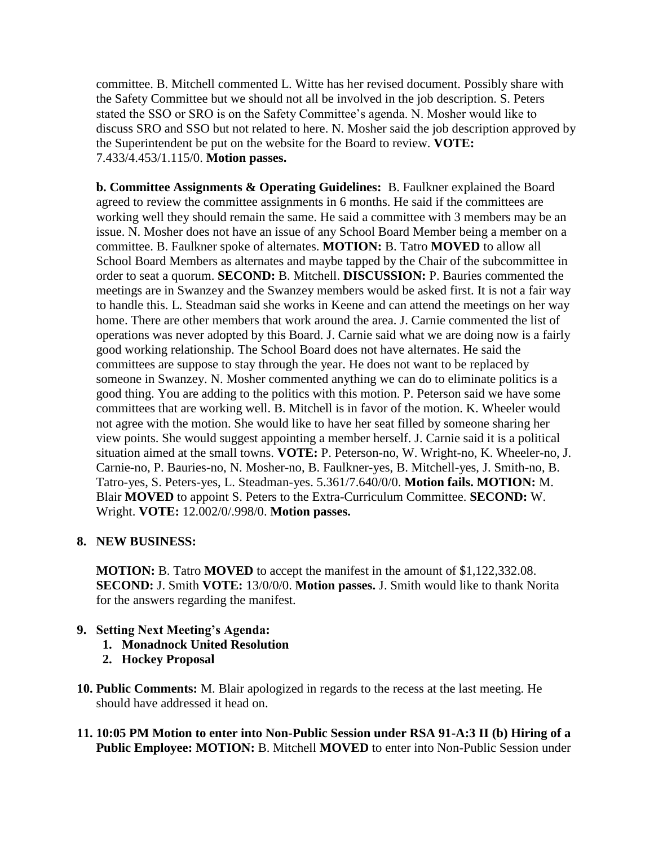committee. B. Mitchell commented L. Witte has her revised document. Possibly share with the Safety Committee but we should not all be involved in the job description. S. Peters stated the SSO or SRO is on the Safety Committee's agenda. N. Mosher would like to discuss SRO and SSO but not related to here. N. Mosher said the job description approved by the Superintendent be put on the website for the Board to review. **VOTE:**  7.433/4.453/1.115/0. **Motion passes.** 

**b. Committee Assignments & Operating Guidelines:** B. Faulkner explained the Board agreed to review the committee assignments in 6 months. He said if the committees are working well they should remain the same. He said a committee with 3 members may be an issue. N. Mosher does not have an issue of any School Board Member being a member on a committee. B. Faulkner spoke of alternates. **MOTION:** B. Tatro **MOVED** to allow all School Board Members as alternates and maybe tapped by the Chair of the subcommittee in order to seat a quorum. **SECOND:** B. Mitchell. **DISCUSSION:** P. Bauries commented the meetings are in Swanzey and the Swanzey members would be asked first. It is not a fair way to handle this. L. Steadman said she works in Keene and can attend the meetings on her way home. There are other members that work around the area. J. Carnie commented the list of operations was never adopted by this Board. J. Carnie said what we are doing now is a fairly good working relationship. The School Board does not have alternates. He said the committees are suppose to stay through the year. He does not want to be replaced by someone in Swanzey. N. Mosher commented anything we can do to eliminate politics is a good thing. You are adding to the politics with this motion. P. Peterson said we have some committees that are working well. B. Mitchell is in favor of the motion. K. Wheeler would not agree with the motion. She would like to have her seat filled by someone sharing her view points. She would suggest appointing a member herself. J. Carnie said it is a political situation aimed at the small towns. **VOTE:** P. Peterson-no, W. Wright-no, K. Wheeler-no, J. Carnie-no, P. Bauries-no, N. Mosher-no, B. Faulkner-yes, B. Mitchell-yes, J. Smith-no, B. Tatro-yes, S. Peters-yes, L. Steadman-yes. 5.361/7.640/0/0. **Motion fails. MOTION:** M. Blair **MOVED** to appoint S. Peters to the Extra-Curriculum Committee. **SECOND:** W. Wright. **VOTE:** 12.002/0/.998/0. **Motion passes.** 

## **8. NEW BUSINESS:**

**MOTION:** B. Tatro **MOVED** to accept the manifest in the amount of \$1,122,332.08. **SECOND:** J. Smith **VOTE:** 13/0/0/0. **Motion passes.** J. Smith would like to thank Norita for the answers regarding the manifest.

## **9. Setting Next Meeting's Agenda:**

- **1. Monadnock United Resolution**
- **2. Hockey Proposal**
- **10. Public Comments:** M. Blair apologized in regards to the recess at the last meeting. He should have addressed it head on.
- **11. 10:05 PM Motion to enter into Non-Public Session under RSA 91-A:3 II (b) Hiring of a Public Employee: MOTION:** B. Mitchell **MOVED** to enter into Non-Public Session under